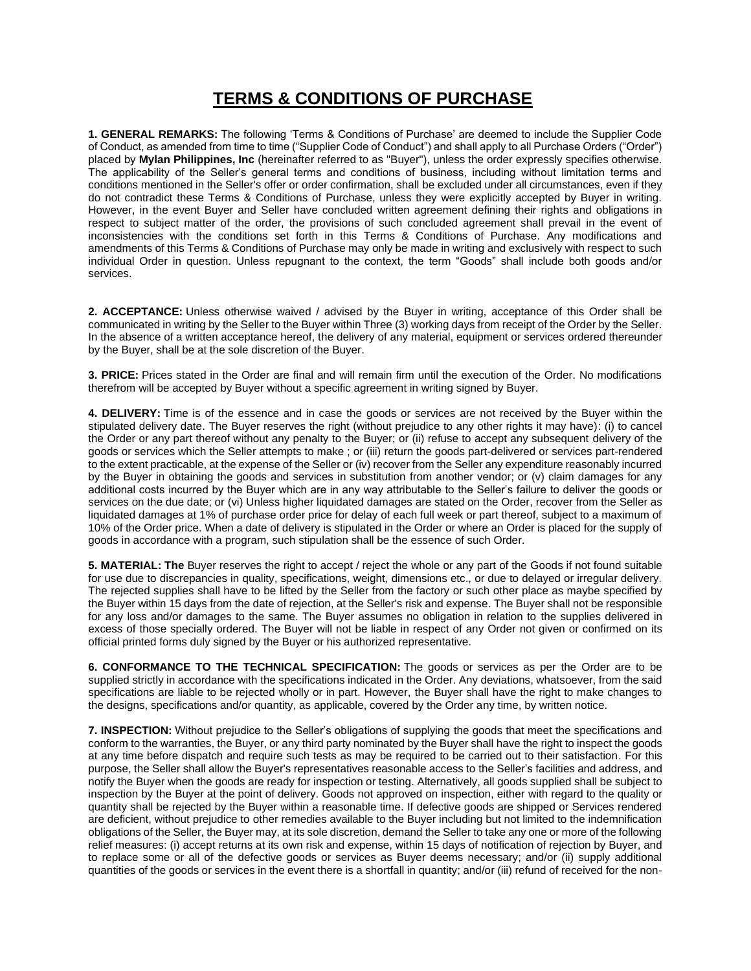## **TERMS & CONDITIONS OF PURCHASE**

**1. GENERAL REMARKS:** The following 'Terms & Conditions of Purchase' are deemed to include the Supplier Code of Conduct, as amended from time to time ("Supplier Code of Conduct") and shall apply to all Purchase Orders ("Order") placed by **Mylan Philippines, Inc** (hereinafter referred to as "Buyer"), unless the order expressly specifies otherwise. The applicability of the Seller's general terms and conditions of business, including without limitation terms and conditions mentioned in the Seller's offer or order confirmation, shall be excluded under all circumstances, even if they do not contradict these Terms & Conditions of Purchase, unless they were explicitly accepted by Buyer in writing. However, in the event Buyer and Seller have concluded written agreement defining their rights and obligations in respect to subject matter of the order, the provisions of such concluded agreement shall prevail in the event of inconsistencies with the conditions set forth in this Terms & Conditions of Purchase. Any modifications and amendments of this Terms & Conditions of Purchase may only be made in writing and exclusively with respect to such individual Order in question. Unless repugnant to the context, the term "Goods" shall include both goods and/or services.

**2. ACCEPTANCE:** Unless otherwise waived / advised by the Buyer in writing, acceptance of this Order shall be communicated in writing by the Seller to the Buyer within Three (3) working days from receipt of the Order by the Seller. In the absence of a written acceptance hereof, the delivery of any material, equipment or services ordered thereunder by the Buyer, shall be at the sole discretion of the Buyer.

**3. PRICE:** Prices stated in the Order are final and will remain firm until the execution of the Order. No modifications therefrom will be accepted by Buyer without a specific agreement in writing signed by Buyer.

**4. DELIVERY:** Time is of the essence and in case the goods or services are not received by the Buyer within the stipulated delivery date. The Buyer reserves the right (without prejudice to any other rights it may have): (i) to cancel the Order or any part thereof without any penalty to the Buyer; or (ii) refuse to accept any subsequent delivery of the goods or services which the Seller attempts to make ; or (iii) return the goods part-delivered or services part-rendered to the extent practicable, at the expense of the Seller or (iv) recover from the Seller any expenditure reasonably incurred by the Buyer in obtaining the goods and services in substitution from another vendor; or (v) claim damages for any additional costs incurred by the Buyer which are in any way attributable to the Seller's failure to deliver the goods or services on the due date; or (vi) Unless higher liquidated damages are stated on the Order, recover from the Seller as liquidated damages at 1% of purchase order price for delay of each full week or part thereof, subject to a maximum of 10% of the Order price. When a date of delivery is stipulated in the Order or where an Order is placed for the supply of goods in accordance with a program, such stipulation shall be the essence of such Order.

**5. MATERIAL: The** Buyer reserves the right to accept / reject the whole or any part of the Goods if not found suitable for use due to discrepancies in quality, specifications, weight, dimensions etc., or due to delayed or irregular delivery. The rejected supplies shall have to be lifted by the Seller from the factory or such other place as maybe specified by the Buyer within 15 days from the date of rejection, at the Seller's risk and expense. The Buyer shall not be responsible for any loss and/or damages to the same. The Buyer assumes no obligation in relation to the supplies delivered in excess of those specially ordered. The Buyer will not be liable in respect of any Order not given or confirmed on its official printed forms duly signed by the Buyer or his authorized representative.

**6. CONFORMANCE TO THE TECHNICAL SPECIFICATION:** The goods or services as per the Order are to be supplied strictly in accordance with the specifications indicated in the Order. Any deviations, whatsoever, from the said specifications are liable to be rejected wholly or in part. However, the Buyer shall have the right to make changes to the designs, specifications and/or quantity, as applicable, covered by the Order any time, by written notice.

**7. INSPECTION:** Without prejudice to the Seller's obligations of supplying the goods that meet the specifications and conform to the warranties, the Buyer, or any third party nominated by the Buyer shall have the right to inspect the goods at any time before dispatch and require such tests as may be required to be carried out to their satisfaction. For this purpose, the Seller shall allow the Buyer's representatives reasonable access to the Seller's facilities and address, and notify the Buyer when the goods are ready for inspection or testing. Alternatively, all goods supplied shall be subject to inspection by the Buyer at the point of delivery. Goods not approved on inspection, either with regard to the quality or quantity shall be rejected by the Buyer within a reasonable time. If defective goods are shipped or Services rendered are deficient, without prejudice to other remedies available to the Buyer including but not limited to the indemnification obligations of the Seller, the Buyer may, at its sole discretion, demand the Seller to take any one or more of the following relief measures: (i) accept returns at its own risk and expense, within 15 days of notification of rejection by Buyer, and to replace some or all of the defective goods or services as Buyer deems necessary; and/or (ii) supply additional quantities of the goods or services in the event there is a shortfall in quantity; and/or (iii) refund of received for the non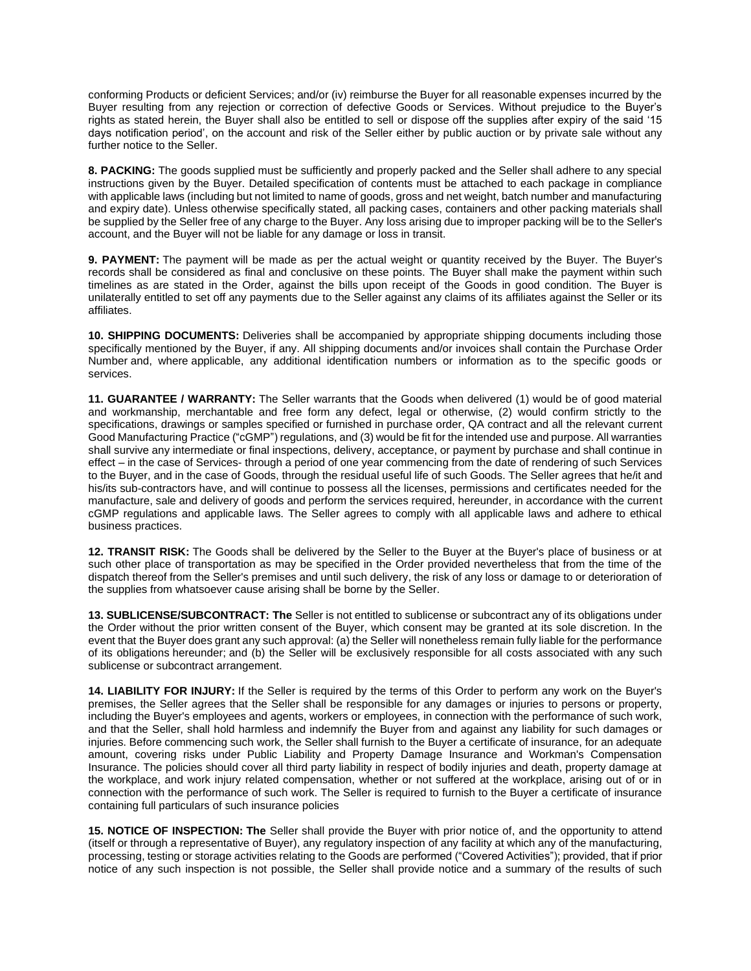conforming Products or deficient Services; and/or (iv) reimburse the Buyer for all reasonable expenses incurred by the Buyer resulting from any rejection or correction of defective Goods or Services. Without prejudice to the Buyer's rights as stated herein, the Buyer shall also be entitled to sell or dispose off the supplies after expiry of the said '15 days notification period', on the account and risk of the Seller either by public auction or by private sale without any further notice to the Seller.

**8. PACKING:** The goods supplied must be sufficiently and properly packed and the Seller shall adhere to any special instructions given by the Buyer. Detailed specification of contents must be attached to each package in compliance with applicable laws (including but not limited to name of goods, gross and net weight, batch number and manufacturing and expiry date). Unless otherwise specifically stated, all packing cases, containers and other packing materials shall be supplied by the Seller free of any charge to the Buyer. Any loss arising due to improper packing will be to the Seller's account, and the Buyer will not be liable for any damage or loss in transit.

**9. PAYMENT:** The payment will be made as per the actual weight or quantity received by the Buyer. The Buyer's records shall be considered as final and conclusive on these points. The Buyer shall make the payment within such timelines as are stated in the Order, against the bills upon receipt of the Goods in good condition. The Buyer is unilaterally entitled to set off any payments due to the Seller against any claims of its affiliates against the Seller or its affiliates.

**10. SHIPPING DOCUMENTS:** Deliveries shall be accompanied by appropriate shipping documents including those specifically mentioned by the Buyer, if any. All shipping documents and/or invoices shall contain the Purchase Order Number and, where applicable, any additional identification numbers or information as to the specific goods or services.

**11. GUARANTEE / WARRANTY:** The Seller warrants that the Goods when delivered (1) would be of good material and workmanship, merchantable and free form any defect, legal or otherwise, (2) would confirm strictly to the specifications, drawings or samples specified or furnished in purchase order, QA contract and all the relevant current Good Manufacturing Practice ("cGMP") regulations, and (3) would be fit for the intended use and purpose. All warranties shall survive any intermediate or final inspections, delivery, acceptance, or payment by purchase and shall continue in effect – in the case of Services- through a period of one year commencing from the date of rendering of such Services to the Buyer, and in the case of Goods, through the residual useful life of such Goods. The Seller agrees that he/it and his/its sub-contractors have, and will continue to possess all the licenses, permissions and certificates needed for the manufacture, sale and delivery of goods and perform the services required, hereunder, in accordance with the current cGMP regulations and applicable laws. The Seller agrees to comply with all applicable laws and adhere to ethical business practices.

**12. TRANSIT RISK:** The Goods shall be delivered by the Seller to the Buyer at the Buyer's place of business or at such other place of transportation as may be specified in the Order provided nevertheless that from the time of the dispatch thereof from the Seller's premises and until such delivery, the risk of any loss or damage to or deterioration of the supplies from whatsoever cause arising shall be borne by the Seller.

**13. SUBLICENSE/SUBCONTRACT: The** Seller is not entitled to sublicense or subcontract any of its obligations under the Order without the prior written consent of the Buyer, which consent may be granted at its sole discretion. In the event that the Buyer does grant any such approval: (a) the Seller will nonetheless remain fully liable for the performance of its obligations hereunder; and (b) the Seller will be exclusively responsible for all costs associated with any such sublicense or subcontract arrangement.

**14. LIABILITY FOR INJURY:** If the Seller is required by the terms of this Order to perform any work on the Buyer's premises, the Seller agrees that the Seller shall be responsible for any damages or injuries to persons or property, including the Buyer's employees and agents, workers or employees, in connection with the performance of such work, and that the Seller, shall hold harmless and indemnify the Buyer from and against any liability for such damages or injuries. Before commencing such work, the Seller shall furnish to the Buyer a certificate of insurance, for an adequate amount, covering risks under Public Liability and Property Damage Insurance and Workman's Compensation Insurance. The policies should cover all third party liability in respect of bodily injuries and death, property damage at the workplace, and work injury related compensation, whether or not suffered at the workplace, arising out of or in connection with the performance of such work. The Seller is required to furnish to the Buyer a certificate of insurance containing full particulars of such insurance policies

**15. NOTICE OF INSPECTION: The** Seller shall provide the Buyer with prior notice of, and the opportunity to attend (itself or through a representative of Buyer), any regulatory inspection of any facility at which any of the manufacturing, processing, testing or storage activities relating to the Goods are performed ("Covered Activities"); provided, that if prior notice of any such inspection is not possible, the Seller shall provide notice and a summary of the results of such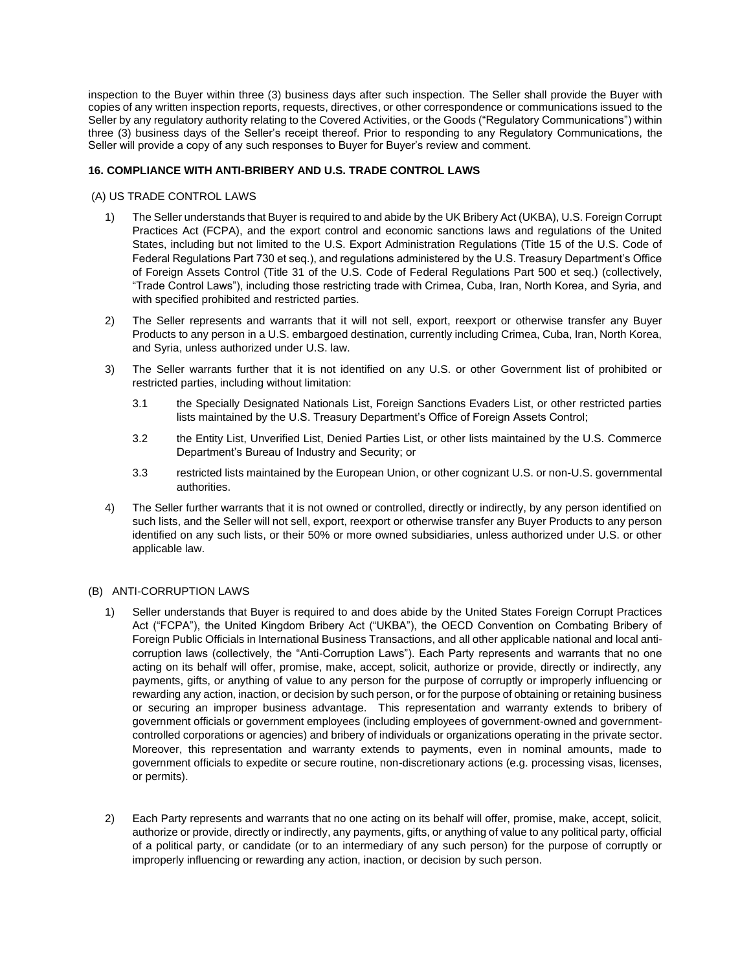inspection to the Buyer within three (3) business days after such inspection. The Seller shall provide the Buyer with copies of any written inspection reports, requests, directives, or other correspondence or communications issued to the Seller by any regulatory authority relating to the Covered Activities, or the Goods ("Regulatory Communications") within three (3) business days of the Seller's receipt thereof. Prior to responding to any Regulatory Communications, the Seller will provide a copy of any such responses to Buyer for Buyer's review and comment.

## **16. COMPLIANCE WITH ANTI-BRIBERY AND U.S. TRADE CONTROL LAWS**

## (A) US TRADE CONTROL LAWS

- 1) The Seller understands that Buyer is required to and abide by the UK Bribery Act (UKBA), U.S. Foreign Corrupt Practices Act (FCPA), and the export control and economic sanctions laws and regulations of the United States, including but not limited to the U.S. Export Administration Regulations (Title 15 of the U.S. Code of Federal Regulations Part 730 et seq.), and regulations administered by the U.S. Treasury Department's Office of Foreign Assets Control (Title 31 of the U.S. Code of Federal Regulations Part 500 et seq.) (collectively, "Trade Control Laws"), including those restricting trade with Crimea, Cuba, Iran, North Korea, and Syria, and with specified prohibited and restricted parties.
- 2) The Seller represents and warrants that it will not sell, export, reexport or otherwise transfer any Buyer Products to any person in a U.S. embargoed destination, currently including Crimea, Cuba, Iran, North Korea, and Syria, unless authorized under U.S. law.
- 3) The Seller warrants further that it is not identified on any U.S. or other Government list of prohibited or restricted parties, including without limitation:
	- 3.1 the Specially Designated Nationals List, Foreign Sanctions Evaders List, or other restricted parties lists maintained by the U.S. Treasury Department's Office of Foreign Assets Control;
	- 3.2 the Entity List, Unverified List, Denied Parties List, or other lists maintained by the U.S. Commerce Department's Bureau of Industry and Security; or
	- 3.3 restricted lists maintained by the European Union, or other cognizant U.S. or non-U.S. governmental authorities.
- 4) The Seller further warrants that it is not owned or controlled, directly or indirectly, by any person identified on such lists, and the Seller will not sell, export, reexport or otherwise transfer any Buyer Products to any person identified on any such lists, or their 50% or more owned subsidiaries, unless authorized under U.S. or other applicable law.

## (B) ANTI-CORRUPTION LAWS

- 1) Seller understands that Buyer is required to and does abide by the United States Foreign Corrupt Practices Act ("FCPA"), the United Kingdom Bribery Act ("UKBA"), the OECD Convention on Combating Bribery of Foreign Public Officials in International Business Transactions, and all other applicable national and local anticorruption laws (collectively, the "Anti-Corruption Laws"). Each Party represents and warrants that no one acting on its behalf will offer, promise, make, accept, solicit, authorize or provide, directly or indirectly, any payments, gifts, or anything of value to any person for the purpose of corruptly or improperly influencing or rewarding any action, inaction, or decision by such person, or for the purpose of obtaining or retaining business or securing an improper business advantage. This representation and warranty extends to bribery of government officials or government employees (including employees of government-owned and governmentcontrolled corporations or agencies) and bribery of individuals or organizations operating in the private sector. Moreover, this representation and warranty extends to payments, even in nominal amounts, made to government officials to expedite or secure routine, non-discretionary actions (e.g. processing visas, licenses, or permits).
- 2) Each Party represents and warrants that no one acting on its behalf will offer, promise, make, accept, solicit, authorize or provide, directly or indirectly, any payments, gifts, or anything of value to any political party, official of a political party, or candidate (or to an intermediary of any such person) for the purpose of corruptly or improperly influencing or rewarding any action, inaction, or decision by such person.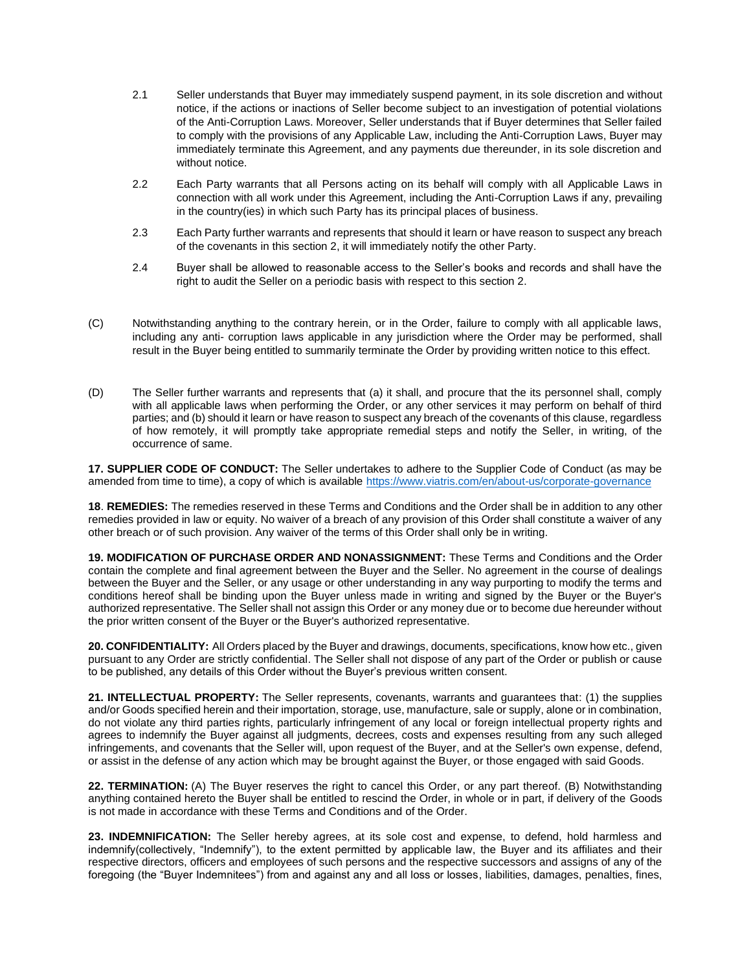- 2.1 Seller understands that Buyer may immediately suspend payment, in its sole discretion and without notice, if the actions or inactions of Seller become subject to an investigation of potential violations of the Anti-Corruption Laws. Moreover, Seller understands that if Buyer determines that Seller failed to comply with the provisions of any Applicable Law, including the Anti-Corruption Laws, Buyer may immediately terminate this Agreement, and any payments due thereunder, in its sole discretion and without notice.
- 2.2 Each Party warrants that all Persons acting on its behalf will comply with all Applicable Laws in connection with all work under this Agreement, including the Anti-Corruption Laws if any, prevailing in the country(ies) in which such Party has its principal places of business.
- 2.3 Each Party further warrants and represents that should it learn or have reason to suspect any breach of the covenants in this section 2, it will immediately notify the other Party.
- 2.4 Buyer shall be allowed to reasonable access to the Seller's books and records and shall have the right to audit the Seller on a periodic basis with respect to this section 2.
- (C) Notwithstanding anything to the contrary herein, or in the Order, failure to comply with all applicable laws, including any anti- corruption laws applicable in any jurisdiction where the Order may be performed, shall result in the Buyer being entitled to summarily terminate the Order by providing written notice to this effect.
- (D) The Seller further warrants and represents that (a) it shall, and procure that the its personnel shall, comply with all applicable laws when performing the Order, or any other services it may perform on behalf of third parties; and (b) should it learn or have reason to suspect any breach of the covenants of this clause, regardless of how remotely, it will promptly take appropriate remedial steps and notify the Seller, in writing, of the occurrence of same.

**17. SUPPLIER CODE OF CONDUCT:** The Seller undertakes to adhere to the Supplier Code of Conduct (as may be amended from time to time), a copy of which is available <https://www.viatris.com/en/about-us/corporate-governance>

**18**. **REMEDIES:** The remedies reserved in these Terms and Conditions and the Order shall be in addition to any other remedies provided in law or equity. No waiver of a breach of any provision of this Order shall constitute a waiver of any other breach or of such provision. Any waiver of the terms of this Order shall only be in writing.

**19. MODIFICATION OF PURCHASE ORDER AND NONASSIGNMENT:** These Terms and Conditions and the Order contain the complete and final agreement between the Buyer and the Seller. No agreement in the course of dealings between the Buyer and the Seller, or any usage or other understanding in any way purporting to modify the terms and conditions hereof shall be binding upon the Buyer unless made in writing and signed by the Buyer or the Buyer's authorized representative. The Seller shall not assign this Order or any money due or to become due hereunder without the prior written consent of the Buyer or the Buyer's authorized representative.

**20. CONFIDENTIALITY:** All Orders placed by the Buyer and drawings, documents, specifications, know how etc., given pursuant to any Order are strictly confidential. The Seller shall not dispose of any part of the Order or publish or cause to be published, any details of this Order without the Buyer's previous written consent.

**21. INTELLECTUAL PROPERTY:** The Seller represents, covenants, warrants and guarantees that: (1) the supplies and/or Goods specified herein and their importation, storage, use, manufacture, sale or supply, alone or in combination, do not violate any third parties rights, particularly infringement of any local or foreign intellectual property rights and agrees to indemnify the Buyer against all judgments, decrees, costs and expenses resulting from any such alleged infringements, and covenants that the Seller will, upon request of the Buyer, and at the Seller's own expense, defend, or assist in the defense of any action which may be brought against the Buyer, or those engaged with said Goods.

**22. TERMINATION:** (A) The Buyer reserves the right to cancel this Order, or any part thereof. (B) Notwithstanding anything contained hereto the Buyer shall be entitled to rescind the Order, in whole or in part, if delivery of the Goods is not made in accordance with these Terms and Conditions and of the Order.

**23. INDEMNIFICATION:** The Seller hereby agrees, at its sole cost and expense, to defend, hold harmless and indemnify(collectively, "Indemnify"), to the extent permitted by applicable law, the Buyer and its affiliates and their respective directors, officers and employees of such persons and the respective successors and assigns of any of the foregoing (the "Buyer Indemnitees") from and against any and all loss or losses, liabilities, damages, penalties, fines,